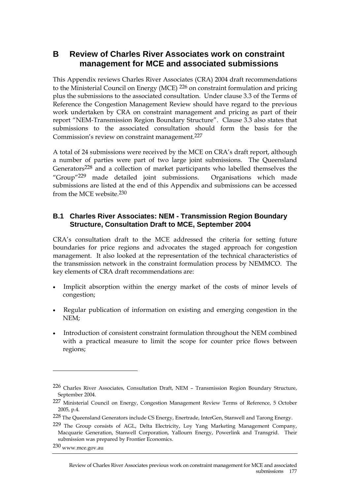# **B Review of Charles River Associates work on constraint management for MCE and associated submissions**

This Appendix reviews Charles River Associates (CRA) 2004 draft recommendations to the Ministerial Council on Energy (MCE) 226 on constraint formulation and pricing plus the submissions to the associated consultation. Under clause 3.3 of the Terms of Reference the Congestion Management Review should have regard to the previous work undertaken by CRA on constraint management and pricing as part of their report "NEM-Transmission Region Boundary Structure". Clause 3.3 also states that submissions to the associated consultation should form the basis for the Commission's review on constraint management.227

A total of 24 submissions were received by the MCE on CRA's draft report, although a number of parties were part of two large joint submissions. The Queensland Generators228 and a collection of market participants who labelled themselves the "Group"229 made detailed joint submissions. Organisations which made submissions are listed at the end of this Appendix and submissions can be accessed from the MCE website.230

## **B.1 Charles River Associates: NEM - Transmission Region Boundary Structure, Consultation Draft to MCE, September 2004**

CRA's consultation draft to the MCE addressed the criteria for setting future boundaries for price regions and advocates the staged approach for congestion management. It also looked at the representation of the technical characteristics of the transmission network in the constraint formulation process by NEMMCO. The key elements of CRA draft recommendations are:

- Implicit absorption within the energy market of the costs of minor levels of congestion;
- Regular publication of information on existing and emerging congestion in the NEM;
- Introduction of consistent constraint formulation throughout the NEM combined with a practical measure to limit the scope for counter price flows between regions;

 $\overline{a}$ 

<sup>226</sup> Charles River Associates, Consultation Draft, NEM – Transmission Region Boundary Structure, September 2004.

<sup>227</sup> Ministerial Council on Energy, Congestion Management Review Terms of Reference, 5 October 2005, p.4.

<sup>228</sup> The Queensland Generators include CS Energy, Enertrade, InterGen, Stanwell and Tarong Energy.

<sup>229</sup> The Group consists of AGL, Delta Electricity, Loy Yang Marketing Management Company, Macquarie Generation, Stanwell Corporation, Yallourn Energy, Powerlink and Transgrid. Their submission was prepared by Frontier Economics.

<sup>230</sup> www.mce.gov.au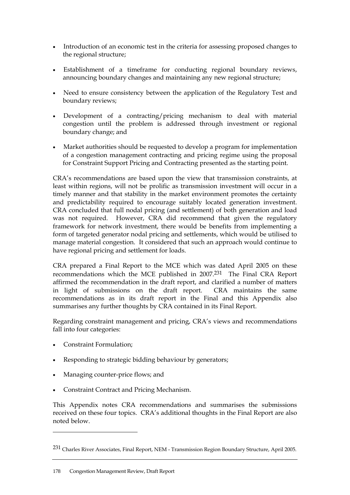- Introduction of an economic test in the criteria for assessing proposed changes to the regional structure;
- Establishment of a timeframe for conducting regional boundary reviews, announcing boundary changes and maintaining any new regional structure;
- Need to ensure consistency between the application of the Regulatory Test and boundary reviews;
- Development of a contracting/pricing mechanism to deal with material congestion until the problem is addressed through investment or regional boundary change; and
- Market authorities should be requested to develop a program for implementation of a congestion management contracting and pricing regime using the proposal for Constraint Support Pricing and Contracting presented as the starting point.

CRA's recommendations are based upon the view that transmission constraints, at least within regions, will not be prolific as transmission investment will occur in a timely manner and that stability in the market environment promotes the certainty and predictability required to encourage suitably located generation investment. CRA concluded that full nodal pricing (and settlement) of both generation and load was not required. However, CRA did recommend that given the regulatory framework for network investment, there would be benefits from implementing a form of targeted generator nodal pricing and settlements, which would be utilised to manage material congestion. It considered that such an approach would continue to have regional pricing and settlement for loads.

CRA prepared a Final Report to the MCE which was dated April 2005 on these recommendations which the MCE published in 2007.231 The Final CRA Report affirmed the recommendation in the draft report, and clarified a number of matters in light of submissions on the draft report. CRA maintains the same recommendations as in its draft report in the Final and this Appendix also summarises any further thoughts by CRA contained in its Final Report.

Regarding constraint management and pricing, CRA's views and recommendations fall into four categories:

• Constraint Formulation;

 $\overline{a}$ 

- Responding to strategic bidding behaviour by generators;
- Managing counter-price flows; and
- Constraint Contract and Pricing Mechanism.

This Appendix notes CRA recommendations and summarises the submissions received on these four topics. CRA's additional thoughts in the Final Report are also noted below.

<sup>231</sup> Charles River Associates, Final Report, NEM - Transmission Region Boundary Structure, April 2005.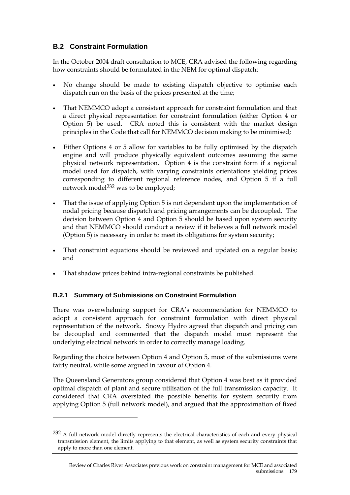# **B.2 Constraint Formulation**

In the October 2004 draft consultation to MCE, CRA advised the following regarding how constraints should be formulated in the NEM for optimal dispatch:

- No change should be made to existing dispatch objective to optimise each dispatch run on the basis of the prices presented at the time;
- That NEMMCO adopt a consistent approach for constraint formulation and that a direct physical representation for constraint formulation (either Option 4 or Option 5) be used. CRA noted this is consistent with the market design principles in the Code that call for NEMMCO decision making to be minimised;
- Either Options 4 or 5 allow for variables to be fully optimised by the dispatch engine and will produce physically equivalent outcomes assuming the same physical network representation. Option 4 is the constraint form if a regional model used for dispatch, with varying constraints orientations yielding prices corresponding to different regional reference nodes, and Option 5 if a full network model<sup>232</sup> was to be employed;
- That the issue of applying Option 5 is not dependent upon the implementation of nodal pricing because dispatch and pricing arrangements can be decoupled. The decision between Option 4 and Option 5 should be based upon system security and that NEMMCO should conduct a review if it believes a full network model (Option 5) is necessary in order to meet its obligations for system security;
- That constraint equations should be reviewed and updated on a regular basis; and
- That shadow prices behind intra-regional constraints be published.

#### **B.2.1 Summary of Submissions on Constraint Formulation**

 $\overline{a}$ 

There was overwhelming support for CRA's recommendation for NEMMCO to adopt a consistent approach for constraint formulation with direct physical representation of the network. Snowy Hydro agreed that dispatch and pricing can be decoupled and commented that the dispatch model must represent the underlying electrical network in order to correctly manage loading.

Regarding the choice between Option 4 and Option 5, most of the submissions were fairly neutral, while some argued in favour of Option 4.

The Queensland Generators group considered that Option 4 was best as it provided optimal dispatch of plant and secure utilisation of the full transmission capacity. It considered that CRA overstated the possible benefits for system security from applying Option 5 (full network model), and argued that the approximation of fixed

<sup>232</sup> A full network model directly represents the electrical characteristics of each and every physical transmission element, the limits applying to that element, as well as system security constraints that apply to more than one element.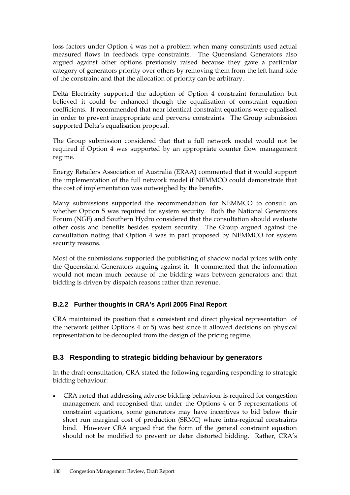loss factors under Option 4 was not a problem when many constraints used actual measured flows in feedback type constraints. The Queensland Generators also argued against other options previously raised because they gave a particular category of generators priority over others by removing them from the left hand side of the constraint and that the allocation of priority can be arbitrary.

Delta Electricity supported the adoption of Option 4 constraint formulation but believed it could be enhanced though the equalisation of constraint equation coefficients. It recommended that near identical constraint equations were equalised in order to prevent inappropriate and perverse constraints. The Group submission supported Delta's equalisation proposal.

The Group submission considered that that a full network model would not be required if Option 4 was supported by an appropriate counter flow management regime.

Energy Retailers Association of Australia (ERAA) commented that it would support the implementation of the full network model if NEMMCO could demonstrate that the cost of implementation was outweighed by the benefits.

Many submissions supported the recommendation for NEMMCO to consult on whether Option 5 was required for system security. Both the National Generators Forum (NGF) and Southern Hydro considered that the consultation should evaluate other costs and benefits besides system security. The Group argued against the consultation noting that Option 4 was in part proposed by NEMMCO for system security reasons.

Most of the submissions supported the publishing of shadow nodal prices with only the Queensland Generators arguing against it. It commented that the information would not mean much because of the bidding wars between generators and that bidding is driven by dispatch reasons rather than revenue.

# **B.2.2 Further thoughts in CRA's April 2005 Final Report**

CRA maintained its position that a consistent and direct physical representation of the network (either Options 4 or 5) was best since it allowed decisions on physical representation to be decoupled from the design of the pricing regime.

# **B.3 Responding to strategic bidding behaviour by generators**

In the draft consultation, CRA stated the following regarding responding to strategic bidding behaviour:

• CRA noted that addressing adverse bidding behaviour is required for congestion management and recognised that under the Options 4 or 5 representations of constraint equations, some generators may have incentives to bid below their short run marginal cost of production (SRMC) where intra-regional constraints bind. However CRA argued that the form of the general constraint equation should not be modified to prevent or deter distorted bidding. Rather, CRA's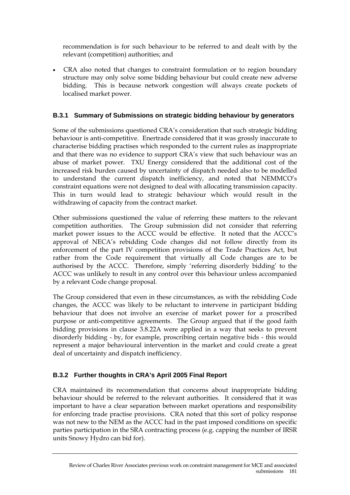recommendation is for such behaviour to be referred to and dealt with by the relevant (competition) authorities; and

• CRA also noted that changes to constraint formulation or to region boundary structure may only solve some bidding behaviour but could create new adverse bidding. This is because network congestion will always create pockets of localised market power.

### **B.3.1 Summary of Submissions on strategic bidding behaviour by generators**

Some of the submissions questioned CRA's consideration that such strategic bidding behaviour is anti-competitive. Enertrade considered that it was grossly inaccurate to characterise bidding practises which responded to the current rules as inappropriate and that there was no evidence to support CRA's view that such behaviour was an abuse of market power. TXU Energy considered that the additional cost of the increased risk burden caused by uncertainty of dispatch needed also to be modelled to understand the current dispatch inefficiency, and noted that NEMMCO's constraint equations were not designed to deal with allocating transmission capacity. This in turn would lead to strategic behaviour which would result in the withdrawing of capacity from the contract market.

Other submissions questioned the value of referring these matters to the relevant competition authorities. The Group submission did not consider that referring market power issues to the ACCC would be effective. It noted that the ACCC's approval of NECA's rebidding Code changes did not follow directly from its enforcement of the part IV competition provisions of the Trade Practices Act, but rather from the Code requirement that virtually all Code changes are to be authorised by the ACCC. Therefore, simply 'referring disorderly bidding' to the ACCC was unlikely to result in any control over this behaviour unless accompanied by a relevant Code change proposal.

The Group considered that even in these circumstances, as with the rebidding Code changes, the ACCC was likely to be reluctant to intervene in participant bidding behaviour that does not involve an exercise of market power for a proscribed purpose or anti-competitive agreements. The Group argued that if the good faith bidding provisions in clause 3.8.22A were applied in a way that seeks to prevent disorderly bidding - by, for example, proscribing certain negative bids - this would represent a major behavioural intervention in the market and could create a great deal of uncertainty and dispatch inefficiency.

#### **B.3.2 Further thoughts in CRA's April 2005 Final Report**

CRA maintained its recommendation that concerns about inappropriate bidding behaviour should be referred to the relevant authorities. It considered that it was important to have a clear separation between market operations and responsibility for enforcing trade practise provisions. CRA noted that this sort of policy response was not new to the NEM as the ACCC had in the past imposed conditions on specific parties participation in the SRA contracting process (e.g. capping the number of IRSR units Snowy Hydro can bid for).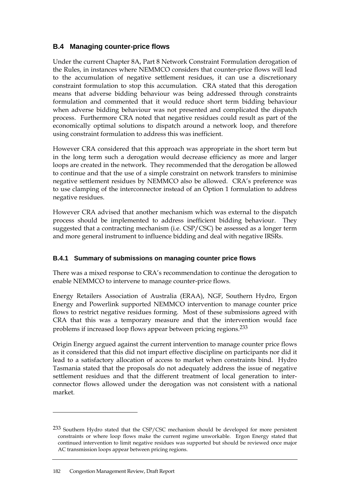# **B.4 Managing counter-price flows**

Under the current Chapter 8A, Part 8 Network Constraint Formulation derogation of the Rules, in instances where NEMMCO considers that counter-price flows will lead to the accumulation of negative settlement residues, it can use a discretionary constraint formulation to stop this accumulation. CRA stated that this derogation means that adverse bidding behaviour was being addressed through constraints formulation and commented that it would reduce short term bidding behaviour when adverse bidding behaviour was not presented and complicated the dispatch process. Furthermore CRA noted that negative residues could result as part of the economically optimal solutions to dispatch around a network loop, and therefore using constraint formulation to address this was inefficient.

However CRA considered that this approach was appropriate in the short term but in the long term such a derogation would decrease efficiency as more and larger loops are created in the network. They recommended that the derogation be allowed to continue and that the use of a simple constraint on network transfers to minimise negative settlement residues by NEMMCO also be allowed. CRA's preference was to use clamping of the interconnector instead of an Option 1 formulation to address negative residues.

However CRA advised that another mechanism which was external to the dispatch process should be implemented to address inefficient bidding behaviour. They suggested that a contracting mechanism (i.e. CSP/CSC) be assessed as a longer term and more general instrument to influence bidding and deal with negative IRSRs.

#### **B.4.1 Summary of submissions on managing counter price flows**

There was a mixed response to CRA's recommendation to continue the derogation to enable NEMMCO to intervene to manage counter-price flows.

Energy Retailers Association of Australia (ERAA), NGF, Southern Hydro, Ergon Energy and Powerlink supported NEMMCO intervention to manage counter price flows to restrict negative residues forming. Most of these submissions agreed with CRA that this was a temporary measure and that the intervention would face problems if increased loop flows appear between pricing regions.233

Origin Energy argued against the current intervention to manage counter price flows as it considered that this did not impart effective discipline on participants nor did it lead to a satisfactory allocation of access to market when constraints bind. Hydro Tasmania stated that the proposals do not adequately address the issue of negative settlement residues and that the different treatment of local generation to interconnector flows allowed under the derogation was not consistent with a national market.

 $\overline{a}$ 

<sup>233</sup> Southern Hydro stated that the CSP/CSC mechanism should be developed for more persistent constraints or where loop flows make the current regime unworkable. Ergon Energy stated that continued intervention to limit negative residues was supported but should be reviewed once major AC transmission loops appear between pricing regions.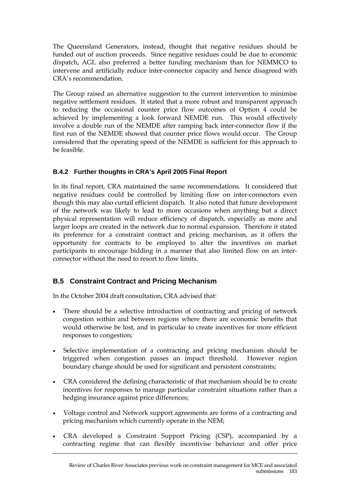The Queensland Generators, instead, thought that negative residues should be funded out of auction proceeds. Since negative residues could be due to economic dispatch, AGL also preferred a better funding mechanism than for NEMMCO to intervene and artificially reduce inter-connector capacity and hence disagreed with CRA's recommendation.

The Group raised an alternative suggestion to the current intervention to minimise negative settlement residues. It stated that a more robust and transparent approach to reducing the occasional counter price flow outcomes of Option 4 could be achieved by implementing a look forward NEMDE run. This would effectively involve a double run of the NEMDE after ramping back inter-connector flow if the first run of the NEMDE showed that counter price flows would occur. The Group considered that the operating speed of the NEMDE is sufficient for this approach to be feasible.

### **B.4.2 Further thoughts in CRA's April 2005 Final Report**

In its final report, CRA maintained the same recommendations. It considered that negative residues could be controlled by limiting flow on inter-connectors even though this may also curtail efficient dispatch. It also noted that future development of the network was likely to lead to more occasions when anything but a direct physical representation will reduce efficiency of dispatch, especially as more and larger loops are created in the network due to normal expansion. Therefore it stated its preference for a constraint contract and pricing mechanism, as it offers the opportunity for contracts to be employed to alter the incentives on market participants to encourage bidding in a manner that also limited flow on an interconnector without the need to resort to flow limits.

# **B.5 Constraint Contract and Pricing Mechanism**

In the October 2004 draft consultation, CRA advised that:

- There should be a selective introduction of contracting and pricing of network congestion within and between regions where there are economic benefits that would otherwise be lost, and in particular to create incentives for more efficient responses to congestion;
- Selective implementation of a contracting and pricing mechanism should be triggered when congestion passes an impact threshold. However region boundary change should be used for significant and persistent constraints;
- CRA considered the defining characteristic of that mechanism should be to create incentives for responses to manage particular constraint situations rather than a hedging insurance against price differences;
- Voltage control and Network support agreements are forms of a contracting and pricing mechanism which currently operate in the NEM;
- CRA developed a Constraint Support Pricing (CSP), accompanied by a contracting regime that can flexibly incentivise behaviour and offer price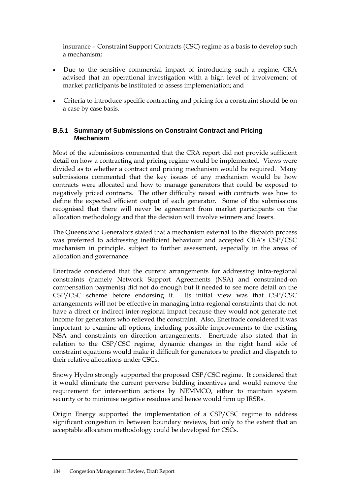insurance – Constraint Support Contracts (CSC) regime as a basis to develop such a mechanism;

- Due to the sensitive commercial impact of introducing such a regime, CRA advised that an operational investigation with a high level of involvement of market participants be instituted to assess implementation; and
- Criteria to introduce specific contracting and pricing for a constraint should be on a case by case basis.

#### **B.5.1 Summary of Submissions on Constraint Contract and Pricing Mechanism**

Most of the submissions commented that the CRA report did not provide sufficient detail on how a contracting and pricing regime would be implemented. Views were divided as to whether a contract and pricing mechanism would be required. Many submissions commented that the key issues of any mechanism would be how contracts were allocated and how to manage generators that could be exposed to negatively priced contracts. The other difficulty raised with contracts was how to define the expected efficient output of each generator. Some of the submissions recognised that there will never be agreement from market participants on the allocation methodology and that the decision will involve winners and losers.

The Queensland Generators stated that a mechanism external to the dispatch process was preferred to addressing inefficient behaviour and accepted CRA's CSP/CSC mechanism in principle, subject to further assessment, especially in the areas of allocation and governance.

Enertrade considered that the current arrangements for addressing intra-regional constraints (namely Network Support Agreements (NSA) and constrained-on compensation payments) did not do enough but it needed to see more detail on the CSP/CSC scheme before endorsing it. Its initial view was that CSP/CSC arrangements will not be effective in managing intra-regional constraints that do not have a direct or indirect inter-regional impact because they would not generate net income for generators who relieved the constraint. Also, Enertrade considered it was important to examine all options, including possible improvements to the existing NSA and constraints on direction arrangements. Enertrade also stated that in relation to the CSP/CSC regime, dynamic changes in the right hand side of constraint equations would make it difficult for generators to predict and dispatch to their relative allocations under CSCs.

Snowy Hydro strongly supported the proposed CSP/CSC regime. It considered that it would eliminate the current perverse bidding incentives and would remove the requirement for intervention actions by NEMMCO, either to maintain system security or to minimise negative residues and hence would firm up IRSRs.

Origin Energy supported the implementation of a CSP/CSC regime to address significant congestion in between boundary reviews, but only to the extent that an acceptable allocation methodology could be developed for CSCs.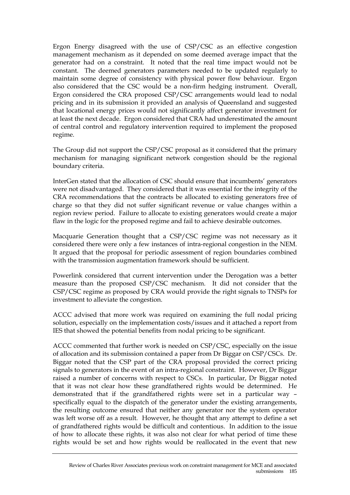Ergon Energy disagreed with the use of CSP/CSC as an effective congestion management mechanism as it depended on some deemed average impact that the generator had on a constraint. It noted that the real time impact would not be constant. The deemed generators parameters needed to be updated regularly to maintain some degree of consistency with physical power flow behaviour. Ergon also considered that the CSC would be a non-firm hedging instrument. Overall, Ergon considered the CRA proposed CSP/CSC arrangements would lead to nodal pricing and in its submission it provided an analysis of Queensland and suggested that locational energy prices would not significantly affect generator investment for at least the next decade. Ergon considered that CRA had underestimated the amount of central control and regulatory intervention required to implement the proposed regime.

The Group did not support the CSP/CSC proposal as it considered that the primary mechanism for managing significant network congestion should be the regional boundary criteria.

InterGen stated that the allocation of CSC should ensure that incumbents' generators were not disadvantaged. They considered that it was essential for the integrity of the CRA recommendations that the contracts be allocated to existing generators free of charge so that they did not suffer significant revenue or value changes within a region review period. Failure to allocate to existing generators would create a major flaw in the logic for the proposed regime and fail to achieve desirable outcomes.

Macquarie Generation thought that a CSP/CSC regime was not necessary as it considered there were only a few instances of intra-regional congestion in the NEM. It argued that the proposal for periodic assessment of region boundaries combined with the transmission augmentation framework should be sufficient.

Powerlink considered that current intervention under the Derogation was a better measure than the proposed CSP/CSC mechanism. It did not consider that the CSP/CSC regime as proposed by CRA would provide the right signals to TNSPs for investment to alleviate the congestion.

ACCC advised that more work was required on examining the full nodal pricing solution, especially on the implementation costs/issues and it attached a report from IES that showed the potential benefits from nodal pricing to be significant.

ACCC commented that further work is needed on CSP/CSC, especially on the issue of allocation and its submission contained a paper from Dr Biggar on CSP/CSCs. Dr. Biggar noted that the CSP part of the CRA proposal provided the correct pricing signals to generators in the event of an intra-regional constraint. However, Dr Biggar raised a number of concerns with respect to CSCs. In particular, Dr Biggar noted that it was not clear how these grandfathered rights would be determined. He demonstrated that if the grandfathered rights were set in a particular way – specifically equal to the dispatch of the generator under the existing arrangements, the resulting outcome ensured that neither any generator nor the system operator was left worse off as a result. However, he thought that any attempt to define a set of grandfathered rights would be difficult and contentious. In addition to the issue of how to allocate these rights, it was also not clear for what period of time these rights would be set and how rights would be reallocated in the event that new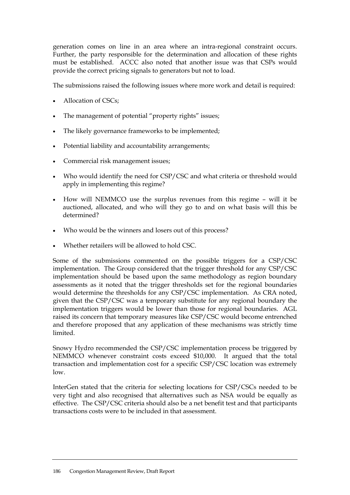generation comes on line in an area where an intra-regional constraint occurs. Further, the party responsible for the determination and allocation of these rights must be established. ACCC also noted that another issue was that CSPs would provide the correct pricing signals to generators but not to load.

The submissions raised the following issues where more work and detail is required:

- Allocation of CSCs;
- The management of potential "property rights" issues;
- The likely governance frameworks to be implemented;
- Potential liability and accountability arrangements;
- Commercial risk management issues;
- Who would identify the need for CSP/CSC and what criteria or threshold would apply in implementing this regime?
- How will NEMMCO use the surplus revenues from this regime will it be auctioned, allocated, and who will they go to and on what basis will this be determined?
- Who would be the winners and losers out of this process?
- Whether retailers will be allowed to hold CSC.

Some of the submissions commented on the possible triggers for a CSP/CSC implementation. The Group considered that the trigger threshold for any CSP/CSC implementation should be based upon the same methodology as region boundary assessments as it noted that the trigger thresholds set for the regional boundaries would determine the thresholds for any CSP/CSC implementation. As CRA noted, given that the CSP/CSC was a temporary substitute for any regional boundary the implementation triggers would be lower than those for regional boundaries. AGL raised its concern that temporary measures like CSP/CSC would become entrenched and therefore proposed that any application of these mechanisms was strictly time limited.

Snowy Hydro recommended the CSP/CSC implementation process be triggered by NEMMCO whenever constraint costs exceed \$10,000. It argued that the total transaction and implementation cost for a specific CSP/CSC location was extremely low.

InterGen stated that the criteria for selecting locations for CSP/CSCs needed to be very tight and also recognised that alternatives such as NSA would be equally as effective. The CSP/CSC criteria should also be a net benefit test and that participants transactions costs were to be included in that assessment.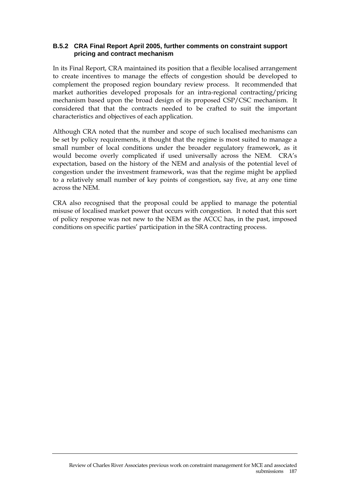#### **B.5.2 CRA Final Report April 2005, further comments on constraint support pricing and contract mechanism**

In its Final Report, CRA maintained its position that a flexible localised arrangement to create incentives to manage the effects of congestion should be developed to complement the proposed region boundary review process. It recommended that market authorities developed proposals for an intra-regional contracting/pricing mechanism based upon the broad design of its proposed CSP/CSC mechanism. It considered that that the contracts needed to be crafted to suit the important characteristics and objectives of each application.

Although CRA noted that the number and scope of such localised mechanisms can be set by policy requirements, it thought that the regime is most suited to manage a small number of local conditions under the broader regulatory framework, as it would become overly complicated if used universally across the NEM. CRA's expectation, based on the history of the NEM and analysis of the potential level of congestion under the investment framework, was that the regime might be applied to a relatively small number of key points of congestion, say five, at any one time across the NEM.

CRA also recognised that the proposal could be applied to manage the potential misuse of localised market power that occurs with congestion. It noted that this sort of policy response was not new to the NEM as the ACCC has, in the past, imposed conditions on specific parties' participation in the SRA contracting process.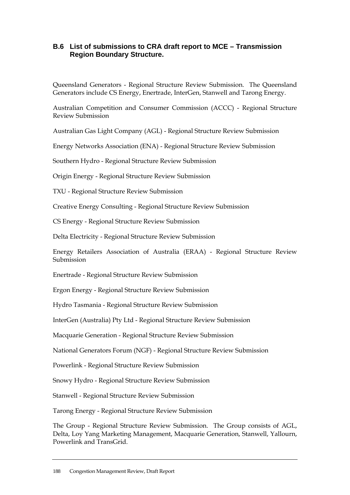#### **B.6 List of submissions to CRA draft report to MCE – Transmission Region Boundary Structure.**

Queensland Generators - Regional Structure Review Submission. The Queensland Generators include CS Energy, Enertrade, InterGen, Stanwell and Tarong Energy.

Australian Competition and Consumer Commission (ACCC) - Regional Structure Review Submission

Australian Gas Light Company (AGL) - Regional Structure Review Submission

Energy Networks Association (ENA) - Regional Structure Review Submission

Southern Hydro - Regional Structure Review Submission

Origin Energy - Regional Structure Review Submission

TXU - Regional Structure Review Submission

Creative Energy Consulting - Regional Structure Review Submission

CS Energy - Regional Structure Review Submission

Delta Electricity - Regional Structure Review Submission

Energy Retailers Association of Australia (ERAA) - Regional Structure Review Submission

Enertrade - Regional Structure Review Submission

Ergon Energy - Regional Structure Review Submission

Hydro Tasmania - Regional Structure Review Submission

InterGen (Australia) Pty Ltd - Regional Structure Review Submission

Macquarie Generation - Regional Structure Review Submission

National Generators Forum (NGF) - Regional Structure Review Submission

Powerlink - Regional Structure Review Submission

Snowy Hydro - Regional Structure Review Submission

Stanwell - Regional Structure Review Submission

Tarong Energy - Regional Structure Review Submission

The Group - Regional Structure Review Submission. The Group consists of AGL, Delta, Loy Yang Marketing Management, Macquarie Generation, Stanwell, Yallourn, Powerlink and TransGrid.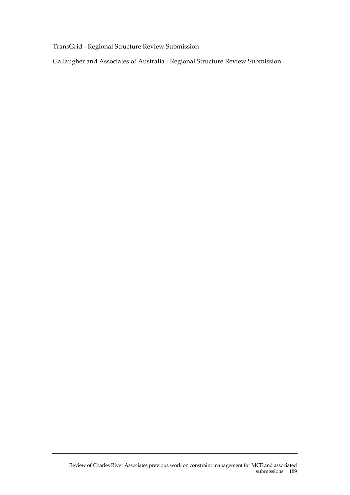TransGrid - Regional Structure Review Submission

Gallaugher and Associates of Australia - Regional Structure Review Submission